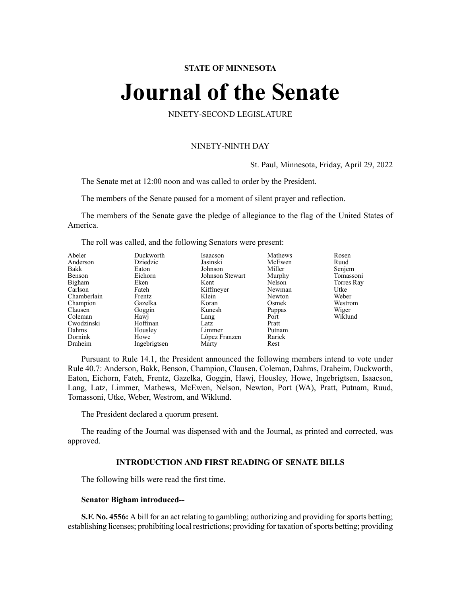### **STATE OF MINNESOTA**

# **Journal of the Senate**

NINETY-SECOND LEGISLATURE

### NINETY-NINTH DAY

St. Paul, Minnesota, Friday, April 29, 2022

The Senate met at 12:00 noon and was called to order by the President.

The members of the Senate paused for a moment of silent prayer and reflection.

The members of the Senate gave the pledge of allegiance to the flag of the United States of America.

The roll was called, and the following Senators were present:

| Abeler<br>Anderson<br>Bakk<br>Benson<br>Bigham<br>Carlson<br>Chamberlain<br>Champion<br>Clausen<br>Coleman<br>Cwodzinski | Duckworth<br>Dziedzic<br>Eaton<br>Eichorn<br>Eken<br>Fateh<br>Frentz<br>Gazelka<br>Goggin<br>Hawj<br>Hoffman | Isaacson<br>Jasinski<br>Johnson<br>Johnson Stewart<br>Kent<br>Kiffmeyer<br>Klein<br>Koran<br>Kunesh<br>Lang<br>Latz | Mathews<br>McEwen<br>Miller<br>Murphy<br>Nelson<br>Newman<br>Newton<br>Osmek<br>Pappas<br>Port<br>Pratt | Rosen<br>Ruud<br>Senjem<br>Tomassoni<br>Torres Ray<br>Utke<br>Weber<br>Westrom<br>Wiger<br>Wiklund |
|--------------------------------------------------------------------------------------------------------------------------|--------------------------------------------------------------------------------------------------------------|---------------------------------------------------------------------------------------------------------------------|---------------------------------------------------------------------------------------------------------|----------------------------------------------------------------------------------------------------|
| Dahms                                                                                                                    | Housley                                                                                                      | Limmer                                                                                                              | Putnam                                                                                                  |                                                                                                    |
| Dornink                                                                                                                  | Howe                                                                                                         | López Franzen                                                                                                       | Rarick                                                                                                  |                                                                                                    |
| Draheim                                                                                                                  | Ingebrigtsen                                                                                                 | Marty                                                                                                               | Rest                                                                                                    |                                                                                                    |

Pursuant to Rule 14.1, the President announced the following members intend to vote under Rule 40.7: Anderson, Bakk, Benson, Champion, Clausen, Coleman, Dahms, Draheim, Duckworth, Eaton, Eichorn, Fateh, Frentz, Gazelka, Goggin, Hawj, Housley, Howe, Ingebrigtsen, Isaacson, Lang, Latz, Limmer, Mathews, McEwen, Nelson, Newton, Port (WA), Pratt, Putnam, Ruud, Tomassoni, Utke, Weber, Westrom, and Wiklund.

The President declared a quorum present.

The reading of the Journal was dispensed with and the Journal, as printed and corrected, was approved.

#### **INTRODUCTION AND FIRST READING OF SENATE BILLS**

The following bills were read the first time.

#### **Senator Bigham introduced--**

**S.F. No. 4556:** A bill for an act relating to gambling; authorizing and providing for sports betting; establishing licenses; prohibiting local restrictions; providing for taxation of sports betting; providing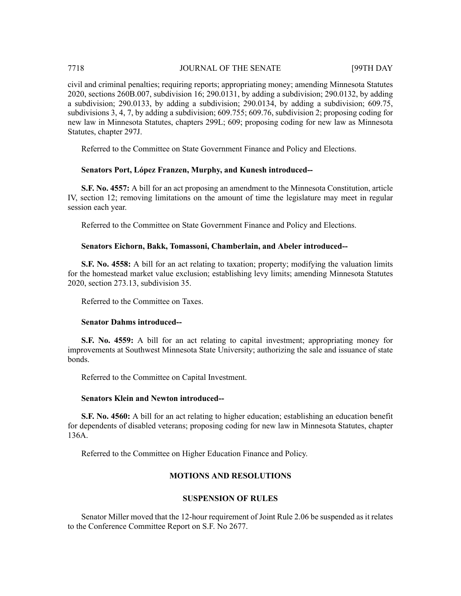# 7718 JOURNAL OF THE SENATE [99TH DAY

civil and criminal penalties; requiring reports; appropriating money; amending Minnesota Statutes 2020, sections 260B.007, subdivision 16; 290.0131, by adding a subdivision; 290.0132, by adding a subdivision; 290.0133, by adding a subdivision; 290.0134, by adding a subdivision; 609.75, subdivisions 3, 4, 7, by adding a subdivision; 609.755; 609.76, subdivision 2; proposing coding for new law in Minnesota Statutes, chapters 299L; 609; proposing coding for new law as Minnesota Statutes, chapter 297J.

Referred to the Committee on State Government Finance and Policy and Elections.

# **Senators Port, López Franzen, Murphy, and Kunesh introduced--**

**S.F. No. 4557:** A bill for an act proposing an amendment to the Minnesota Constitution, article IV, section 12; removing limitations on the amount of time the legislature may meet in regular session each year.

Referred to the Committee on State Government Finance and Policy and Elections.

### **Senators Eichorn, Bakk, Tomassoni, Chamberlain, and Abeler introduced--**

**S.F. No. 4558:** A bill for an act relating to taxation; property; modifying the valuation limits for the homestead market value exclusion; establishing levy limits; amending Minnesota Statutes 2020, section 273.13, subdivision 35.

Referred to the Committee on Taxes.

#### **Senator Dahms introduced--**

**S.F. No. 4559:** A bill for an act relating to capital investment; appropriating money for improvements at Southwest Minnesota State University; authorizing the sale and issuance of state bonds.

Referred to the Committee on Capital Investment.

#### **Senators Klein and Newton introduced--**

**S.F. No. 4560:** A bill for an act relating to higher education; establishing an education benefit for dependents of disabled veterans; proposing coding for new law in Minnesota Statutes, chapter 136A.

Referred to the Committee on Higher Education Finance and Policy.

# **MOTIONS AND RESOLUTIONS**

# **SUSPENSION OF RULES**

Senator Miller moved that the 12-hour requirement of Joint Rule 2.06 be suspended as it relates to the Conference Committee Report on S.F. No 2677.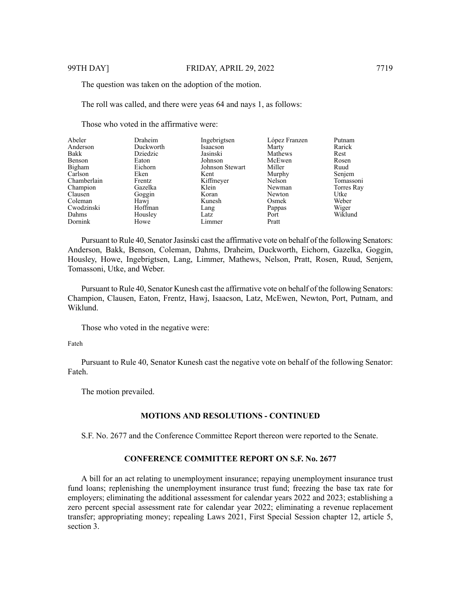The question was taken on the adoption of the motion.

The roll was called, and there were yeas 64 and nays 1, as follows:

Those who voted in the affirmative were:

| Abeler      | Draheim   | Ingebrigtsen    | López Franzen | Putnam     |
|-------------|-----------|-----------------|---------------|------------|
| Anderson    | Duckworth | Isaacson        | Marty         | Rarick     |
| Bakk        | Dziedzic  | Jasinski        | Mathews       | Rest       |
| Benson      | Eaton     | Johnson         | McEwen        | Rosen      |
| Bigham      | Eichorn   | Johnson Stewart | Miller        | Ruud       |
| Carlson     | Eken      | Kent            | Murphy        | Senjem     |
| Chamberlain | Frentz    | Kiffmeyer       | Nelson        | Tomassoni  |
| Champion    | Gazelka   | Klein           | Newman        | Torres Ray |
| Clausen     | Goggin    | Koran           | Newton        | Utke       |
| Coleman     | Hawj      | Kunesh          | Osmek         | Weber      |
| Cwodzinski  | Hoffman   | Lang            | Pappas        | Wiger      |
| Dahms       | Housley   | Latz            | Port          | Wiklund    |
| Dornink     | Howe      | Limmer          | Pratt         |            |

Pursuant to Rule 40, Senator Jasinski cast the affirmative vote on behalf of the following Senators: Anderson, Bakk, Benson, Coleman, Dahms, Draheim, Duckworth, Eichorn, Gazelka, Goggin, Housley, Howe, Ingebrigtsen, Lang, Limmer, Mathews, Nelson, Pratt, Rosen, Ruud, Senjem, Tomassoni, Utke, and Weber.

Pursuant to Rule 40, Senator Kunesh cast the affirmative vote on behalf of the following Senators: Champion, Clausen, Eaton, Frentz, Hawj, Isaacson, Latz, McEwen, Newton, Port, Putnam, and Wiklund.

Those who voted in the negative were:

Fateh

Pursuant to Rule 40, Senator Kunesh cast the negative vote on behalf of the following Senator: Fateh.

The motion prevailed.

#### **MOTIONS AND RESOLUTIONS - CONTINUED**

S.F. No. 2677 and the Conference Committee Report thereon were reported to the Senate.

### **CONFERENCE COMMITTEE REPORT ON S.F. No. 2677**

A bill for an act relating to unemployment insurance; repaying unemployment insurance trust fund loans; replenishing the unemployment insurance trust fund; freezing the base tax rate for employers; eliminating the additional assessment for calendar years 2022 and 2023; establishing a zero percent special assessment rate for calendar year 2022; eliminating a revenue replacement transfer; appropriating money; repealing Laws 2021, First Special Session chapter 12, article 5, section 3.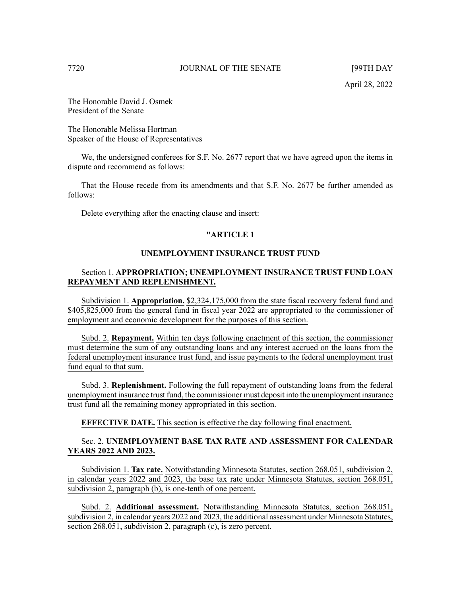The Honorable David J. Osmek President of the Senate

The Honorable Melissa Hortman Speaker of the House of Representatives

We, the undersigned conferees for S.F. No. 2677 report that we have agreed upon the items in dispute and recommend as follows:

That the House recede from its amendments and that S.F. No. 2677 be further amended as follows:

Delete everything after the enacting clause and insert:

#### **"ARTICLE 1**

### **UNEMPLOYMENT INSURANCE TRUST FUND**

## Section 1. **APPROPRIATION; UNEMPLOYMENT INSURANCE TRUST FUND LOAN REPAYMENT AND REPLENISHMENT.**

Subdivision 1. **Appropriation.** \$2,324,175,000 from the state fiscal recovery federal fund and \$405,825,000 from the general fund in fiscal year 2022 are appropriated to the commissioner of employment and economic development for the purposes of this section.

Subd. 2. **Repayment.** Within ten days following enactment of this section, the commissioner must determine the sum of any outstanding loans and any interest accrued on the loans from the federal unemployment insurance trust fund, and issue payments to the federal unemployment trust fund equal to that sum.

Subd. 3. **Replenishment.** Following the full repayment of outstanding loans from the federal unemployment insurance trust fund, the commissioner must deposit into the unemployment insurance trust fund all the remaining money appropriated in this section.

**EFFECTIVE DATE.** This section is effective the day following final enactment.

# Sec. 2. **UNEMPLOYMENT BASE TAX RATE AND ASSESSMENT FOR CALENDAR YEARS 2022 AND 2023.**

Subdivision 1. **Tax rate.** Notwithstanding Minnesota Statutes, section 268.051, subdivision 2, in calendar years 2022 and 2023, the base tax rate under Minnesota Statutes, section 268.051, subdivision 2, paragraph (b), is one-tenth of one percent.

Subd. 2. **Additional assessment.** Notwithstanding Minnesota Statutes, section 268.051, subdivision 2, in calendar years 2022 and 2023, the additional assessment under Minnesota Statutes, section 268.051, subdivision 2, paragraph (c), is zero percent.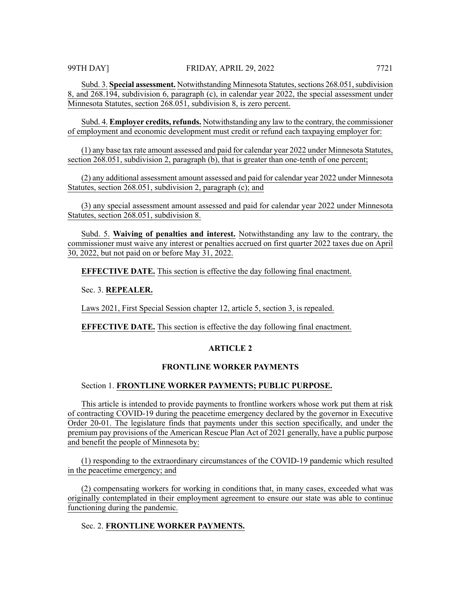Subd. 3. **Special assessment.** Notwithstanding Minnesota Statutes, sections 268.051, subdivision 8, and 268.194, subdivision 6, paragraph (c), in calendar year 2022, the special assessment under Minnesota Statutes, section 268.051, subdivision 8, is zero percent.

Subd. 4. **Employer credits, refunds.** Notwithstanding any law to the contrary, the commissioner of employment and economic development must credit or refund each taxpaying employer for:

(1) any base tax rate amount assessed and paid for calendar year 2022 under Minnesota Statutes, section 268.051, subdivision 2, paragraph (b), that is greater than one-tenth of one percent;

(2) any additional assessment amount assessed and paid for calendar year 2022 under Minnesota Statutes, section 268.051, subdivision 2, paragraph (c); and

(3) any special assessment amount assessed and paid for calendar year 2022 under Minnesota Statutes, section 268.051, subdivision 8.

Subd. 5. **Waiving of penalties and interest.** Notwithstanding any law to the contrary, the commissioner must waive any interest or penalties accrued on first quarter 2022 taxes due on April 30, 2022, but not paid on or before May 31, 2022.

**EFFECTIVE DATE.** This section is effective the day following final enactment.

Sec. 3. **REPEALER.**

Laws 2021, First Special Session chapter 12, article 5, section 3, is repealed.

**EFFECTIVE DATE.** This section is effective the day following final enactment.

### **ARTICLE 2**

#### **FRONTLINE WORKER PAYMENTS**

#### Section 1. **FRONTLINE WORKER PAYMENTS; PUBLIC PURPOSE.**

This article is intended to provide payments to frontline workers whose work put them at risk of contracting COVID-19 during the peacetime emergency declared by the governor in Executive Order 20-01. The legislature finds that payments under this section specifically, and under the premium pay provisions of the American Rescue Plan Act of 2021 generally, have a public purpose and benefit the people of Minnesota by:

(1) responding to the extraordinary circumstances of the COVID-19 pandemic which resulted in the peacetime emergency; and

(2) compensating workers for working in conditions that, in many cases, exceeded what was originally contemplated in their employment agreement to ensure our state was able to continue functioning during the pandemic.

#### Sec. 2. **FRONTLINE WORKER PAYMENTS.**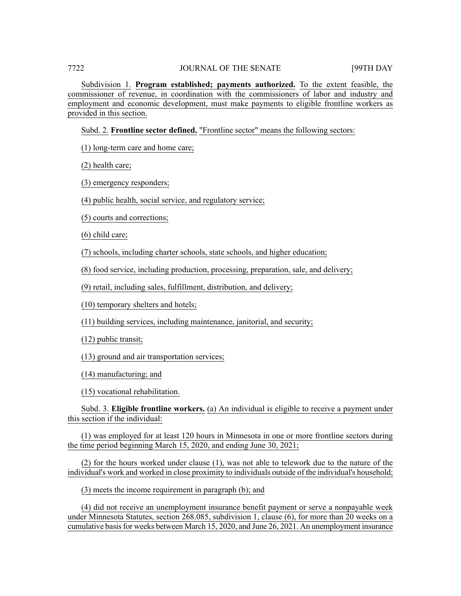Subdivision 1. **Program established; payments authorized.** To the extent feasible, the commissioner of revenue, in coordination with the commissioners of labor and industry and employment and economic development, must make payments to eligible frontline workers as provided in this section.

Subd. 2. **Frontline sector defined.** "Frontline sector" means the following sectors:

(1) long-term care and home care;

(2) health care;

(3) emergency responders;

(4) public health, social service, and regulatory service;

(5) courts and corrections;

(6) child care;

(7) schools, including charter schools, state schools, and higher education;

(8) food service, including production, processing, preparation, sale, and delivery;

(9) retail, including sales, fulfillment, distribution, and delivery;

(10) temporary shelters and hotels;

(11) building services, including maintenance, janitorial, and security;

(12) public transit;

(13) ground and air transportation services;

(14) manufacturing; and

(15) vocational rehabilitation.

Subd. 3. **Eligible frontline workers.** (a) An individual is eligible to receive a payment under this section if the individual:

(1) was employed for at least 120 hours in Minnesota in one or more frontline sectors during the time period beginning March 15, 2020, and ending June 30, 2021;

(2) for the hours worked under clause (1), was not able to telework due to the nature of the individual's work and worked in close proximity to individuals outside of the individual's household;

(3) meets the income requirement in paragraph (b); and

(4) did not receive an unemployment insurance benefit payment or serve a nonpayable week under Minnesota Statutes, section 268.085, subdivision 1, clause (6), for more than 20 weeks on a cumulative basisfor weeks between March 15, 2020, and June 26, 2021. An unemployment insurance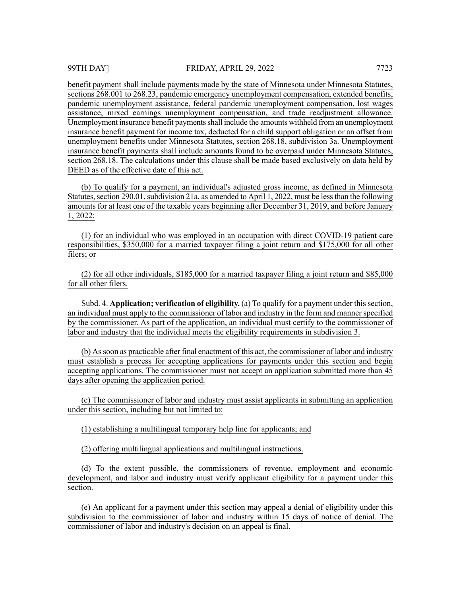benefit payment shall include payments made by the state of Minnesota under Minnesota Statutes, sections 268.001 to 268.23, pandemic emergency unemployment compensation, extended benefits, pandemic unemployment assistance, federal pandemic unemployment compensation, lost wages assistance, mixed earnings unemployment compensation, and trade readjustment allowance. Unemployment insurance benefit paymentsshall include the amounts withheld from an unemployment insurance benefit payment for income tax, deducted for a child support obligation or an offset from unemployment benefits under Minnesota Statutes, section 268.18, subdivision 3a. Unemployment insurance benefit payments shall include amounts found to be overpaid under Minnesota Statutes, section 268.18. The calculations under this clause shall be made based exclusively on data held by DEED as of the effective date of this act.

(b) To qualify for a payment, an individual's adjusted gross income, as defined in Minnesota Statutes, section 290.01, subdivision 21a, as amended to April 1, 2022, must be less than the following amounts for at least one of the taxable years beginning after December 31, 2019, and before January 1, 2022:

(1) for an individual who was employed in an occupation with direct COVID-19 patient care responsibilities, \$350,000 for a married taxpayer filing a joint return and \$175,000 for all other filers; or

(2) for all other individuals, \$185,000 for a married taxpayer filing a joint return and \$85,000 for all other filers.

Subd. 4. **Application; verification of eligibility.** (a) To qualify for a payment under this section, an individual must apply to the commissioner of labor and industry in the form and manner specified by the commissioner. As part of the application, an individual must certify to the commissioner of labor and industry that the individual meets the eligibility requirements in subdivision 3.

(b) Assoon as practicable after final enactment of this act, the commissioner of labor and industry must establish a process for accepting applications for payments under this section and begin accepting applications. The commissioner must not accept an application submitted more than 45 days after opening the application period.

(c) The commissioner of labor and industry must assist applicants in submitting an application under this section, including but not limited to:

(1) establishing a multilingual temporary help line for applicants; and

(2) offering multilingual applications and multilingual instructions.

(d) To the extent possible, the commissioners of revenue, employment and economic development, and labor and industry must verify applicant eligibility for a payment under this section.

(e) An applicant for a payment under this section may appeal a denial of eligibility under this subdivision to the commissioner of labor and industry within 15 days of notice of denial. The commissioner of labor and industry's decision on an appeal is final.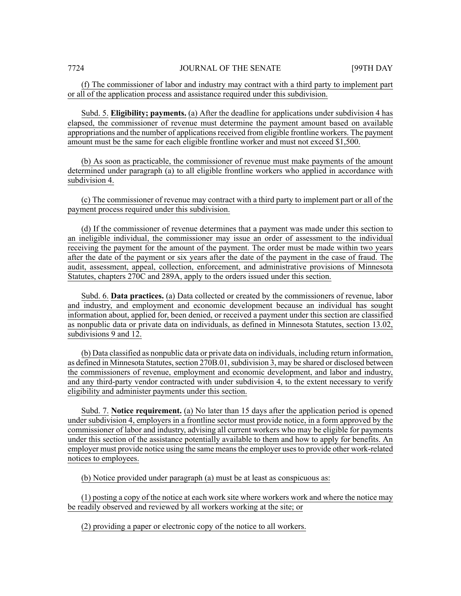(f) The commissioner of labor and industry may contract with a third party to implement part or all of the application process and assistance required under this subdivision.

Subd. 5. **Eligibility; payments.** (a) After the deadline for applications under subdivision 4 has elapsed, the commissioner of revenue must determine the payment amount based on available appropriations and the number of applications received from eligible frontline workers. The payment amount must be the same for each eligible frontline worker and must not exceed \$1,500.

(b) As soon as practicable, the commissioner of revenue must make payments of the amount determined under paragraph (a) to all eligible frontline workers who applied in accordance with subdivision 4.

(c) The commissioner of revenue may contract with a third party to implement part or all of the payment process required under this subdivision.

(d) If the commissioner of revenue determines that a payment was made under this section to an ineligible individual, the commissioner may issue an order of assessment to the individual receiving the payment for the amount of the payment. The order must be made within two years after the date of the payment or six years after the date of the payment in the case of fraud. The audit, assessment, appeal, collection, enforcement, and administrative provisions of Minnesota Statutes, chapters 270C and 289A, apply to the orders issued under this section.

Subd. 6. **Data practices.** (a) Data collected or created by the commissioners of revenue, labor and industry, and employment and economic development because an individual has sought information about, applied for, been denied, or received a payment under this section are classified as nonpublic data or private data on individuals, as defined in Minnesota Statutes, section 13.02, subdivisions 9 and 12.

(b) Data classified as nonpublic data or private data on individuals, including return information, as defined in Minnesota Statutes, section 270B.01, subdivision 3, may be shared or disclosed between the commissioners of revenue, employment and economic development, and labor and industry, and any third-party vendor contracted with under subdivision 4, to the extent necessary to verify eligibility and administer payments under this section.

Subd. 7. **Notice requirement.** (a) No later than 15 days after the application period is opened under subdivision 4, employers in a frontline sector must provide notice, in a form approved by the commissioner of labor and industry, advising all current workers who may be eligible for payments under this section of the assistance potentially available to them and how to apply for benefits. An employer must provide notice using the same meansthe employer usesto provide other work-related notices to employees.

(b) Notice provided under paragraph (a) must be at least as conspicuous as:

(1) posting a copy of the notice at each work site where workers work and where the notice may be readily observed and reviewed by all workers working at the site; or

(2) providing a paper or electronic copy of the notice to all workers.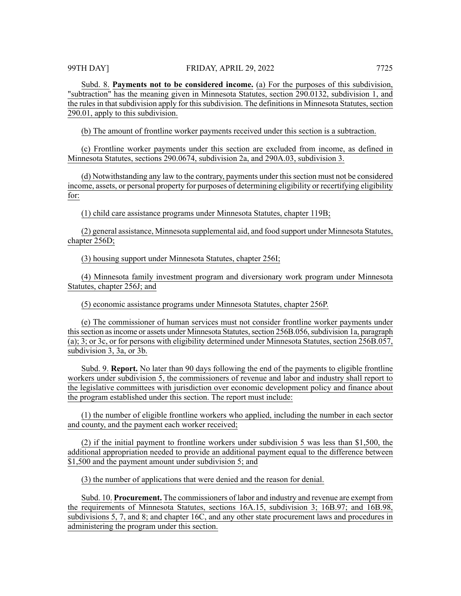Subd. 8. **Payments not to be considered income.** (a) For the purposes of this subdivision, "subtraction" has the meaning given in Minnesota Statutes, section 290.0132, subdivision 1, and the rules in that subdivision apply for this subdivision. The definitions in Minnesota Statutes, section 290.01, apply to this subdivision.

(b) The amount of frontline worker payments received under this section is a subtraction.

(c) Frontline worker payments under this section are excluded from income, as defined in Minnesota Statutes, sections 290.0674, subdivision 2a, and 290A.03, subdivision 3.

(d) Notwithstanding any law to the contrary, payments under this section must not be considered income, assets, or personal property for purposes of determining eligibility or recertifying eligibility for:

(1) child care assistance programs under Minnesota Statutes, chapter 119B;

(2) general assistance, Minnesota supplemental aid, and food support under Minnesota Statutes, chapter 256D;

(3) housing support under Minnesota Statutes, chapter 256I;

(4) Minnesota family investment program and diversionary work program under Minnesota Statutes, chapter 256J; and

(5) economic assistance programs under Minnesota Statutes, chapter 256P.

(e) The commissioner of human services must not consider frontline worker payments under this section as income or assets under Minnesota Statutes, section 256B.056, subdivision 1a, paragraph (a); 3; or 3c, or for persons with eligibility determined under Minnesota Statutes, section 256B.057, subdivision 3, 3a, or 3b.

Subd. 9. **Report.** No later than 90 days following the end of the payments to eligible frontline workers under subdivision 5, the commissioners of revenue and labor and industry shall report to the legislative committees with jurisdiction over economic development policy and finance about the program established under this section. The report must include:

(1) the number of eligible frontline workers who applied, including the number in each sector and county, and the payment each worker received;

(2) if the initial payment to frontline workers under subdivision 5 was less than \$1,500, the additional appropriation needed to provide an additional payment equal to the difference between \$1,500 and the payment amount under subdivision 5; and

(3) the number of applications that were denied and the reason for denial.

Subd. 10. **Procurement.** The commissioners of labor and industry and revenue are exempt from the requirements of Minnesota Statutes, sections 16A.15, subdivision 3; 16B.97; and 16B.98, subdivisions 5, 7, and 8; and chapter 16C, and any other state procurement laws and procedures in administering the program under this section.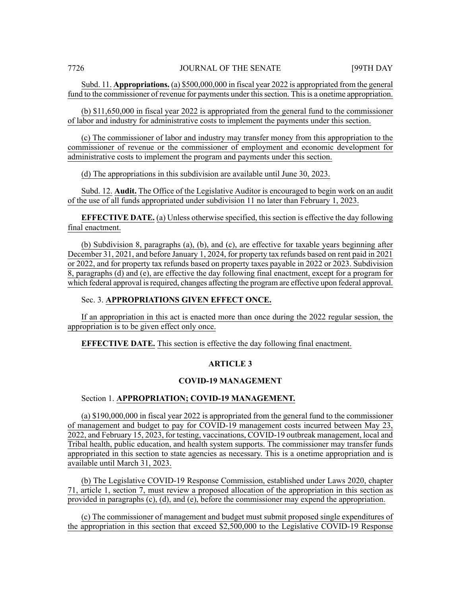Subd. 11. **Appropriations.** (a) \$500,000,000 in fiscal year 2022 is appropriated from the general fund to the commissioner of revenue for payments under this section. This is a onetime appropriation.

(b) \$11,650,000 in fiscal year 2022 is appropriated from the general fund to the commissioner of labor and industry for administrative costs to implement the payments under this section.

(c) The commissioner of labor and industry may transfer money from this appropriation to the commissioner of revenue or the commissioner of employment and economic development for administrative costs to implement the program and payments under this section.

(d) The appropriations in this subdivision are available until June 30, 2023.

Subd. 12. **Audit.** The Office of the Legislative Auditor is encouraged to begin work on an audit of the use of all funds appropriated under subdivision 11 no later than February 1, 2023.

**EFFECTIVE DATE.** (a) Unless otherwise specified, this section is effective the day following final enactment.

(b) Subdivision 8, paragraphs (a), (b), and (c), are effective for taxable years beginning after December 31, 2021, and before January 1, 2024, for property tax refunds based on rent paid in 2021 or 2022, and for property tax refunds based on property taxes payable in 2022 or 2023. Subdivision 8, paragraphs (d) and (e), are effective the day following final enactment, except for a program for which federal approval is required, changes affecting the program are effective upon federal approval.

#### Sec. 3. **APPROPRIATIONS GIVEN EFFECT ONCE.**

If an appropriation in this act is enacted more than once during the 2022 regular session, the appropriation is to be given effect only once.

**EFFECTIVE DATE.** This section is effective the day following final enactment.

#### **ARTICLE 3**

#### **COVID-19 MANAGEMENT**

#### Section 1. **APPROPRIATION; COVID-19 MANAGEMENT.**

(a) \$190,000,000 in fiscal year 2022 is appropriated from the general fund to the commissioner of management and budget to pay for COVID-19 management costs incurred between May 23, 2022, and February 15, 2023, for testing, vaccinations, COVID-19 outbreak management, local and Tribal health, public education, and health system supports. The commissioner may transfer funds appropriated in this section to state agencies as necessary. This is a onetime appropriation and is available until March 31, 2023.

(b) The Legislative COVID-19 Response Commission, established under Laws 2020, chapter 71, article 1, section 7, must review a proposed allocation of the appropriation in this section as provided in paragraphs (c), (d), and (e), before the commissioner may expend the appropriation.

(c) The commissioner of management and budget must submit proposed single expenditures of the appropriation in this section that exceed \$2,500,000 to the Legislative COVID-19 Response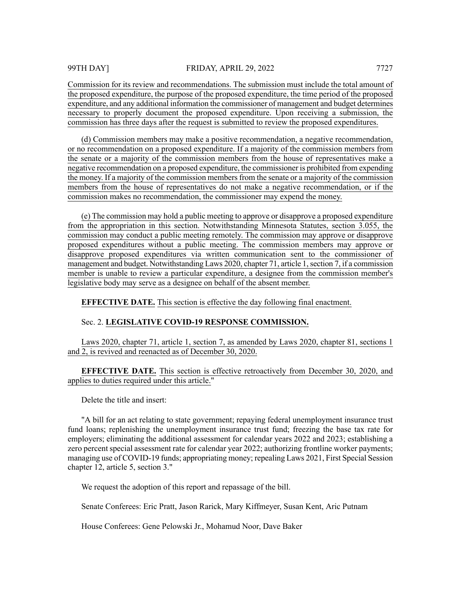Commission for its review and recommendations. The submission must include the total amount of the proposed expenditure, the purpose of the proposed expenditure, the time period of the proposed expenditure, and any additional information the commissioner of management and budget determines necessary to properly document the proposed expenditure. Upon receiving a submission, the commission has three days after the request is submitted to review the proposed expenditures.

(d) Commission members may make a positive recommendation, a negative recommendation, or no recommendation on a proposed expenditure. If a majority of the commission members from the senate or a majority of the commission members from the house of representatives make a negative recommendation on a proposed expenditure, the commissioner is prohibited from expending the money. If a majority of the commission membersfrom the senate or a majority of the commission members from the house of representatives do not make a negative recommendation, or if the commission makes no recommendation, the commissioner may expend the money.

(e) The commission may hold a public meeting to approve or disapprove a proposed expenditure from the appropriation in this section. Notwithstanding Minnesota Statutes, section 3.055, the commission may conduct a public meeting remotely. The commission may approve or disapprove proposed expenditures without a public meeting. The commission members may approve or disapprove proposed expenditures via written communication sent to the commissioner of management and budget. Notwithstanding Laws 2020, chapter 71, article 1, section 7, if a commission member is unable to review a particular expenditure, a designee from the commission member's legislative body may serve as a designee on behalf of the absent member.

**EFFECTIVE DATE.** This section is effective the day following final enactment.

# Sec. 2. **LEGISLATIVE COVID-19 RESPONSE COMMISSION.**

Laws 2020, chapter 71, article 1, section 7, as amended by Laws 2020, chapter 81, sections 1 and 2, is revived and reenacted as of December 30, 2020.

**EFFECTIVE DATE.** This section is effective retroactively from December 30, 2020, and applies to duties required under this article."

Delete the title and insert:

"A bill for an act relating to state government; repaying federal unemployment insurance trust fund loans; replenishing the unemployment insurance trust fund; freezing the base tax rate for employers; eliminating the additional assessment for calendar years 2022 and 2023; establishing a zero percent special assessment rate for calendar year 2022; authorizing frontline worker payments; managing use of COVID-19 funds; appropriating money; repealing Laws 2021, First Special Session chapter 12, article 5, section 3."

We request the adoption of this report and repassage of the bill.

Senate Conferees: Eric Pratt, Jason Rarick, Mary Kiffmeyer, Susan Kent, Aric Putnam

House Conferees: Gene Pelowski Jr., Mohamud Noor, Dave Baker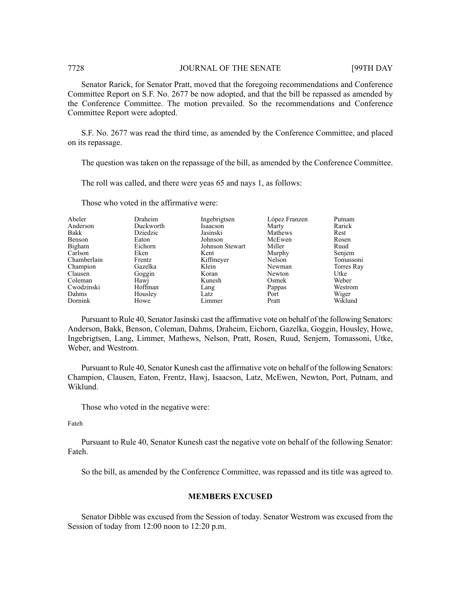#### 7728 JOURNAL OF THE SENATE [99TH DAY

Senator Rarick, for Senator Pratt, moved that the foregoing recommendations and Conference Committee Report on S.F. No. 2677 be now adopted, and that the bill be repassed as amended by the Conference Committee. The motion prevailed. So the recommendations and Conference Committee Report were adopted.

S.F. No. 2677 was read the third time, as amended by the Conference Committee, and placed on its repassage.

The question was taken on the repassage of the bill, as amended by the Conference Committee.

The roll was called, and there were yeas 65 and nays 1, as follows:

| Abeler      | Draheim   | Ingebrigtsen    | López Franzen | Putnam     |
|-------------|-----------|-----------------|---------------|------------|
| Anderson    | Duckworth | Isaacson        | Marty         | Rarick     |
| Bakk        | Dziedzic  | Jasinski        | Mathews       | Rest       |
| Benson      | Eaton     | Johnson         | McEwen        | Rosen      |
| Bigham      | Eichorn   | Johnson Stewart | Miller        | Ruud       |
| Carlson     | Eken      | Kent            | Murphy        | Senjem     |
| Chamberlain | Frentz    | Kiffmeyer       | Nelson        | Tomassoni  |
| Champion    | Gazelka   | Klein           | Newman        | Torres Ray |
| Clausen     | Goggin    | Koran           | Newton        | Utke       |
| Coleman     | Hawj      | Kunesh          | Osmek         | Weber      |
| Cwodzinski  | Hoffman   | Lang            | Pappas        | Westrom    |
| Dahms       | Housley   | Latz            | Port          | Wiger      |
| Dornink     | Howe      | Limmer          | Pratt         | Wiklund    |

Those who voted in the affirmative were:

Pursuant to Rule 40, Senator Jasinski cast the affirmative vote on behalf of the following Senators: Anderson, Bakk, Benson, Coleman, Dahms, Draheim, Eichorn, Gazelka, Goggin, Housley, Howe, Ingebrigtsen, Lang, Limmer, Mathews, Nelson, Pratt, Rosen, Ruud, Senjem, Tomassoni, Utke, Weber, and Westrom.

Pursuant to Rule 40, Senator Kunesh cast the affirmative vote on behalf of the following Senators: Champion, Clausen, Eaton, Frentz, Hawj, Isaacson, Latz, McEwen, Newton, Port, Putnam, and Wiklund.

Those who voted in the negative were:

Fateh

Pursuant to Rule 40, Senator Kunesh cast the negative vote on behalf of the following Senator: Fateh.

So the bill, as amended by the Conference Committee, was repassed and its title was agreed to.

### **MEMBERS EXCUSED**

Senator Dibble was excused from the Session of today. Senator Westrom was excused from the Session of today from 12:00 noon to 12:20 p.m.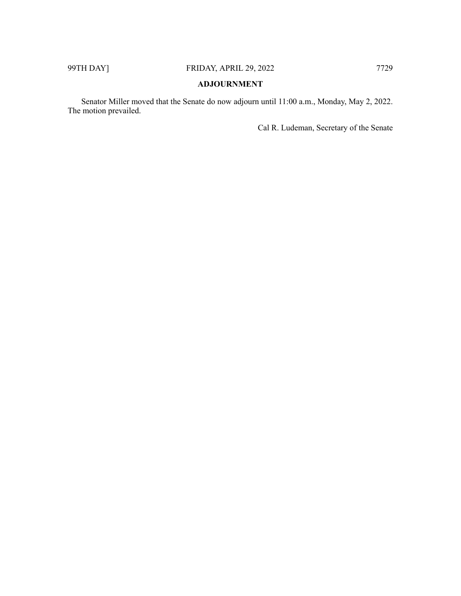# **ADJOURNMENT**

Senator Miller moved that the Senate do now adjourn until 11:00 a.m., Monday, May 2, 2022. The motion prevailed.

Cal R. Ludeman, Secretary of the Senate